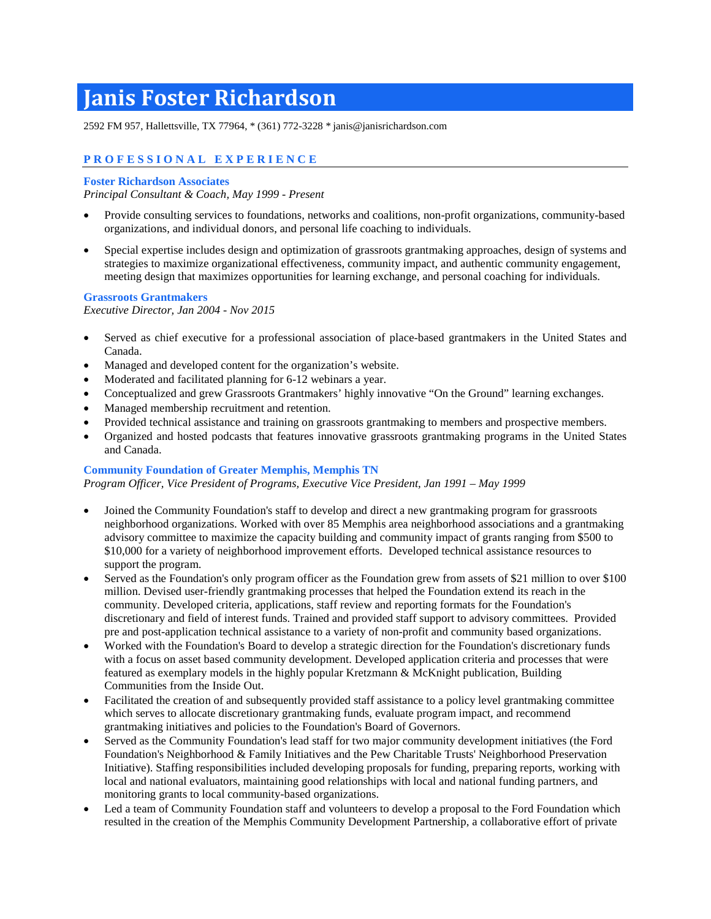# **Janis Foster Richardson**

2592 FM 957, Hallettsville, TX 77964, \* (361) 772-3228 \* janis@janisrichardson.com

# **PROFESSIONAL EXPERIENCE**

### **Foster Richardson Associates**

*Principal Consultant & Coach, May 1999 - Present*

- Provide consulting services to foundations, networks and coalitions, non-profit organizations, community-based organizations, and individual donors, and personal life coaching to individuals.
- Special expertise includes design and optimization of grassroots grantmaking approaches, design of systems and strategies to maximize organizational effectiveness, community impact, and authentic community engagement, meeting design that maximizes opportunities for learning exchange, and personal coaching for individuals.

## **Grassroots Grantmakers**

*Executive Director, Jan 2004 - Nov 2015*

- Served as chief executive for a professional association of place-based grantmakers in the United States and Canada.
- Managed and developed content for the organization's website.
- Moderated and facilitated planning for 6-12 webinars a year.
- Conceptualized and grew Grassroots Grantmakers' highly innovative "On the Ground" learning exchanges.
- Managed membership recruitment and retention.
- Provided technical assistance and training on grassroots grantmaking to members and prospective members.
- Organized and hosted podcasts that features innovative grassroots grantmaking programs in the United States and Canada.

## **Community Foundation of Greater Memphis, Memphis TN**

*Program Officer, Vice President of Programs, Executive Vice President, Jan 1991 – May 1999*

- Joined the Community Foundation's staff to develop and direct a new grantmaking program for grassroots neighborhood organizations. Worked with over 85 Memphis area neighborhood associations and a grantmaking advisory committee to maximize the capacity building and community impact of grants ranging from \$500 to \$10,000 for a variety of neighborhood improvement efforts. Developed technical assistance resources to support the program.
- Served as the Foundation's only program officer as the Foundation grew from assets of \$21 million to over \$100 million. Devised user-friendly grantmaking processes that helped the Foundation extend its reach in the community. Developed criteria, applications, staff review and reporting formats for the Foundation's discretionary and field of interest funds. Trained and provided staff support to advisory committees. Provided pre and post-application technical assistance to a variety of non-profit and community based organizations.
- Worked with the Foundation's Board to develop a strategic direction for the Foundation's discretionary funds with a focus on asset based community development. Developed application criteria and processes that were featured as exemplary models in the highly popular Kretzmann & McKnight publication, Building Communities from the Inside Out.
- Facilitated the creation of and subsequently provided staff assistance to a policy level grantmaking committee which serves to allocate discretionary grantmaking funds, evaluate program impact, and recommend grantmaking initiatives and policies to the Foundation's Board of Governors.
- Served as the Community Foundation's lead staff for two major community development initiatives (the Ford Foundation's Neighborhood & Family Initiatives and the Pew Charitable Trusts' Neighborhood Preservation Initiative). Staffing responsibilities included developing proposals for funding, preparing reports, working with local and national evaluators, maintaining good relationships with local and national funding partners, and monitoring grants to local community-based organizations.
- Led a team of Community Foundation staff and volunteers to develop a proposal to the Ford Foundation which resulted in the creation of the Memphis Community Development Partnership, a collaborative effort of private